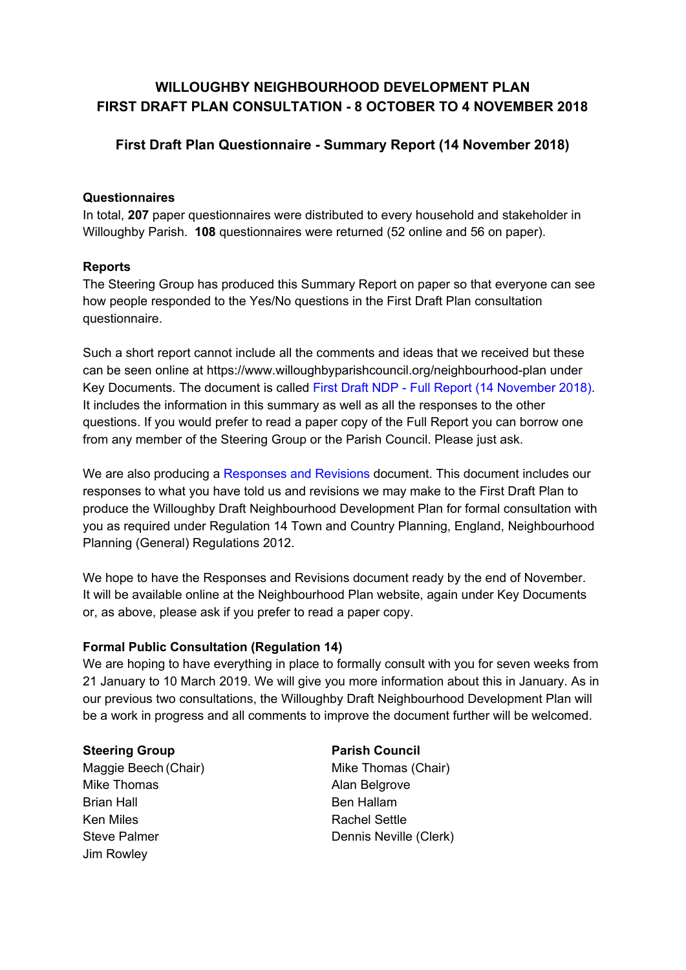# **WILLOUGHBY NEIGHBOURHOOD DEVELOPMENT PLAN FIRST DRAFT PLAN CONSULTATION - 8 OCTOBER TO 4 NOVEMBER 2018**

## **First Draft Plan Questionnaire - Summary Report (14 November 2018)**

## **Questionnaires**

In total, **207** paper questionnaires were distributed to every household and stakeholder in Willoughby Parish. **108** questionnaires were returned (52 online and 56 on paper).

## **Reports**

The Steering Group has produced this Summary Report on paper so that everyone can see how people responded to the Yes/No questions in the First Draft Plan consultation questionnaire.

Such a short report cannot include all the comments and ideas that we received but these can be seen online at https://www.willoughbyparishcouncil.org/neighbourhood-plan under Key Documents. The document is called First Draft NDP - Full Report (14 November 2018). It includes the information in this summary as well as all the responses to the other questions. If you would prefer to read a paper copy of the Full Report you can borrow one from any member of the Steering Group or the Parish Council. Please just ask.

We are also producing a Responses and Revisions document. This document includes our responses to what you have told us and revisions we may make to the First Draft Plan to produce the Willoughby Draft Neighbourhood Development Plan for formal consultation with you as required under Regulation 14 Town and Country Planning, England, Neighbourhood Planning (General) Regulations 2012.

We hope to have the Responses and Revisions document ready by the end of November. It will be available online at the Neighbourhood Plan website, again under Key Documents or, as above, please ask if you prefer to read a paper copy.

## **Formal Public Consultation (Regulation 14)**

We are hoping to have everything in place to formally consult with you for seven weeks from 21 January to 10 March 2019. We will give you more information about this in January. As in our previous two consultations, the Willoughby Draft Neighbourhood Development Plan will be a work in progress and all comments to improve the document further will be welcomed.

#### **Steering Group Parish Council**

Maggie Beech (Chair) Mike Thomas (Chair) Mike Thomas **Alan Belgrove** Brian Hall Ben Hallam Ken Miles **Rachel Settle** Steve Palmer **Dennis Neville (Clerk)** Jim Rowley